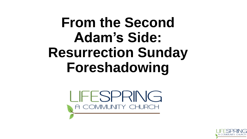# **From the Second Adam's Side: Resurrection Sunday Foreshadowing**

I IFFSPRING A COMMUNITY CHURCH

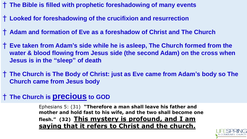- † **The Bible is filled with prophetic foreshadowing of many events**
- † **Looked for foreshadowing of the crucifixion and resurrection**
- † **Adam and formation of Eve as a foreshadow of Christ and The Church**
- † **Eve taken from Adam's side while he is asleep, The Church formed from the water & blood flowing from Jesus side (the second Adam) on the cross when Jesus is in the "sleep" of death**
- † **The Church is The Body of Christ: just as Eve came from Adam's body so The Church came from Jesus body**

### † **The Church is precious to GOD**

Ephesians 5: (31) **"Therefore a man shall leave his father and mother and hold fast to his wife, and the two shall become one flesh." (32) This mystery is profound, and I am saying that it refers to Christ and the church.** 

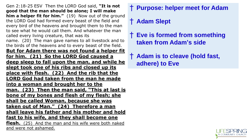Gen 2:18-25 ESV Then the LORD God said, **"It is not good that the man should be alone; I will make him a helper fit for him."** (19) Now out of the ground the LORD God had formed every beast of the field and every bird of the heavens and brought them to the man to see what he would call them. And whatever the man called every living creature, that was its name. (20) The man gave names to all livestock and to the birds of the heavens and to every beast of the field. **But for Adam there was not found a helper fit for him. (21) So the LORD God caused a deep sleep to fall upon the man, and while he slept took one of his ribs and closed up its place with flesh. (22) And the rib that the LORD God had taken from the man he made into a woman and brought her to the man. (23) Then the man said, "This at last is bone of my bones and flesh of my flesh; she shall be called Woman, because she was taken out of Man." (24) Therefore a man shall leave his father and his mother and hold fast to his wife, and they shall become one flesh.** (25) And the man and his wife were both naked and were not ashamed.

## † **Purpose: helper meet for Adam**

## † **Adam Slept**

† **Eve is formed from something taken from Adam's side**

† **Adam is to cleave (hold fast, adhere) to Eve** 

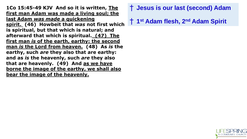**1Co 15:45-49 KJV And so it is written, The first man Adam was made a living soul; the last Adam** *was made* **a quickening spirit. (46) Howbeit that** *was* **not first which is spiritual, but that which is natural; and afterward that which is spiritual. (47) The first man** *is* **of the earth, earthy: the second man** *is* **the Lord from heaven. (48) As** *is* **the earthy, such** *are* **they also that are earthy: and as** *is* **the heavenly, such** *are* **they also that are heavenly. (49) And as we have borne the image of the earthy, we shall also bear the image of the heavenly.**

- † **Jesus is our last (second) Adam**
- † **1 st Adam flesh, 2 nd Adam Spirit**

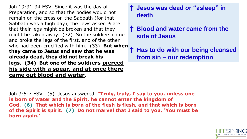Joh 19:31-34 ESV Since it was the day of Preparation, and so that the bodies would not remain on the cross on the Sabbath (for that Sabbath was a high day), the Jews asked Pilate that their legs might be broken and that they might be taken away. (32) So the soldiers came and broke the legs of the first, and of the other who had been crucified with him. (33) **But when they came to Jesus and saw that he was already dead, they did not break his legs. (34) But one of the soldiers pierced his side with a spear, and at once there came out blood and water.** 

#### † **Jesus was dead or "asleep" in death**

† **Blood and water came from the side of Jesus**

† **Has to do with our being cleansed from sin – our redemption**

Joh 3:5-7 ESV (5) Jesus answered, **"Truly, truly, I say to you, unless one is born of water and the Spirit, he cannot enter the kingdom of God. (6) That which is born of the flesh is flesh, and that which is born of the Spirit is spirit. (7) Do not marvel that I said to you, 'You must be born again.'**

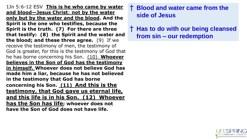1Jn 5:6-12 ESV **This is he who came by water and blood—Jesus Christ**; **not by the water only but by the water and the blood. And the Spirit is the one who testifies, because the Spirit is the truth. (7) For there are three that testify: (8) the Spirit and the water and the blood; and these three agree.** (9) If we receive the testimony of men, the testimony of God is greater, for this is the testimony of God that he has borne concerning his Son. (10) **Whoever believes in the Son of God has the testimony in himself. Whoever does not believe God has made him a liar, because he has not believed in the testimony that God has borne concerning his Son. (11) And this is the testimony, that God gave us eternal life, and this life is in his Son. (12) Whoever has the Son has life; whoever does not have the Son of God does not have life.**

#### † **Blood and water came from the side of Jesus**

† **Has to do with our being cleansed from sin – our redemption**